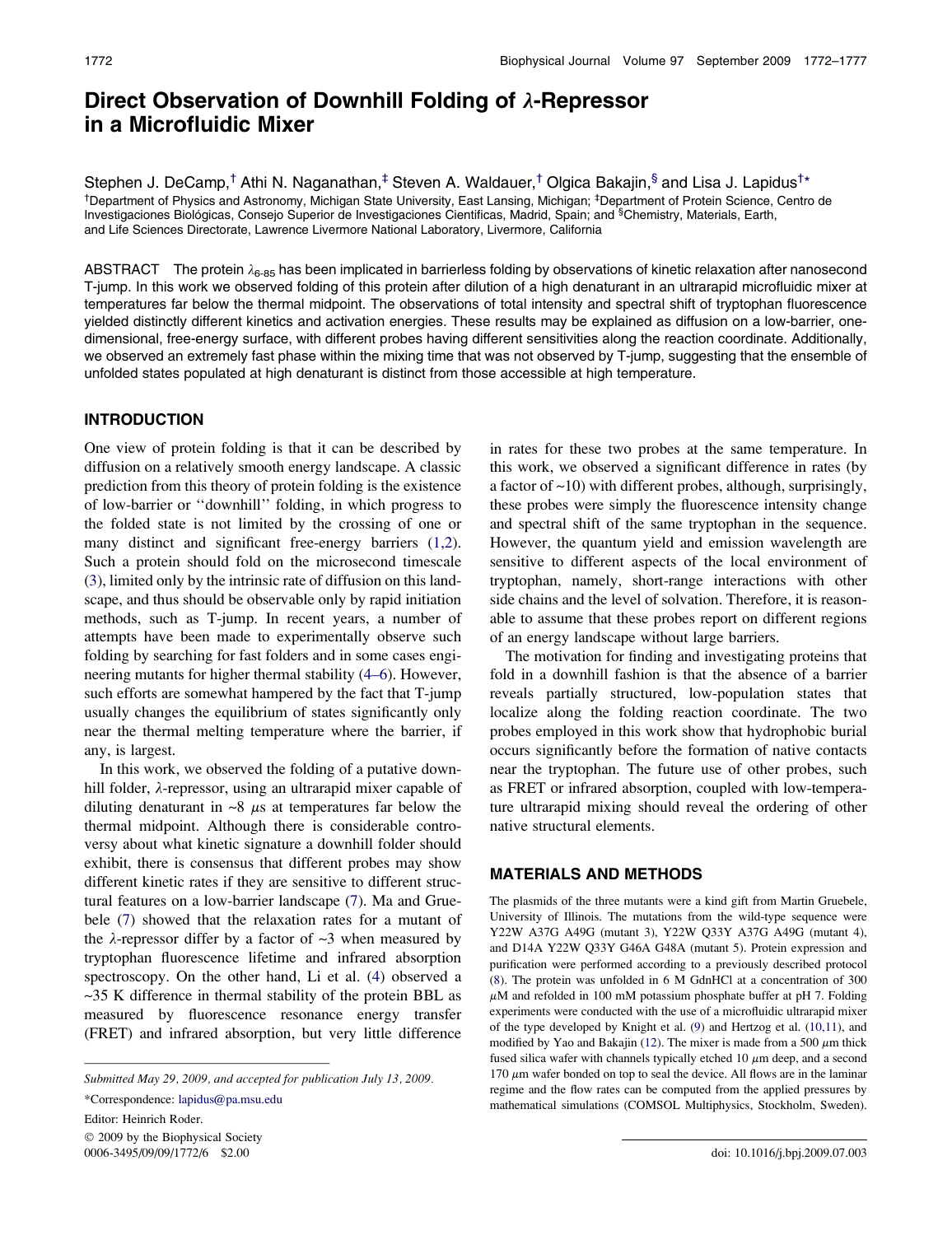# Direct Observation of Downhill Folding of  $\lambda$ -Repressor in a Microfluidic Mixer

Stephen J. DeCamp,<sup>†</sup> Athi N. Naganathan,<sup>‡</sup> Steven A. Waldauer,<sup>†</sup> Olgica Bakajin,<sup>§</sup> and Lisa J. Lapidus<sup>†</sup>\* †Department of Physics and Astronomy, Michigan State University, East Lansing, Michigan; ‡Department of Protein Science, Centro de Investigaciones Biológicas, Consejo Superior de Investigaciones Cientificas, Madrid, Spain; and <sup>§</sup>Chemistry, Materials, Earth, and Life Sciences Directorate, Lawrence Livermore National Laboratory, Livermore, California

ABSTRACT The protein  $\lambda_{6-85}$  has been implicated in barrierless folding by observations of kinetic relaxation after nanosecond T-jump. In this work we observed folding of this protein after dilution of a high denaturant in an ultrarapid microfluidic mixer at temperatures far below the thermal midpoint. The observations of total intensity and spectral shift of tryptophan fluorescence yielded distinctly different kinetics and activation energies. These results may be explained as diffusion on a low-barrier, onedimensional, free-energy surface, with different probes having different sensitivities along the reaction coordinate. Additionally, we observed an extremely fast phase within the mixing time that was not observed by T-jump, suggesting that the ensemble of unfolded states populated at high denaturant is distinct from those accessible at high temperature.

## INTRODUCTION

One view of protein folding is that it can be described by diffusion on a relatively smooth energy landscape. A classic prediction from this theory of protein folding is the existence of low-barrier or ''downhill'' folding, in which progress to the folded state is not limited by the crossing of one or many distinct and significant free-energy barriers  $(1,2)$ . Such a protein should fold on the microsecond timescale ([3\)](#page-5-0), limited only by the intrinsic rate of diffusion on this landscape, and thus should be observable only by rapid initiation methods, such as T-jump. In recent years, a number of attempts have been made to experimentally observe such folding by searching for fast folders and in some cases engineering mutants for higher thermal stability ([4–6\)](#page-5-0). However, such efforts are somewhat hampered by the fact that T-jump usually changes the equilibrium of states significantly only near the thermal melting temperature where the barrier, if any, is largest.

In this work, we observed the folding of a putative downhill folder,  $\lambda$ -repressor, using an ultrarapid mixer capable of diluting denaturant in  $\sim 8$   $\mu$ s at temperatures far below the thermal midpoint. Although there is considerable controversy about what kinetic signature a downhill folder should exhibit, there is consensus that different probes may show different kinetic rates if they are sensitive to different structural features on a low-barrier landscape ([7\)](#page-5-0). Ma and Gruebele ([7\)](#page-5-0) showed that the relaxation rates for a mutant of the  $\lambda$ -repressor differ by a factor of  $\sim$ 3 when measured by tryptophan fluorescence lifetime and infrared absorption spectroscopy. On the other hand, Li et al. ([4\)](#page-5-0) observed a ~35 K difference in thermal stability of the protein BBL as measured by fluorescence resonance energy transfer (FRET) and infrared absorption, but very little difference

 $© 2009$  by the Biophysical Society 0006-3495/09/09/1772/6 \$2.00 doi: 10.1016/j.bpj.2009.07.003

in rates for these two probes at the same temperature. In this work, we observed a significant difference in rates (by a factor of ~10) with different probes, although, surprisingly, these probes were simply the fluorescence intensity change and spectral shift of the same tryptophan in the sequence. However, the quantum yield and emission wavelength are sensitive to different aspects of the local environment of tryptophan, namely, short-range interactions with other side chains and the level of solvation. Therefore, it is reasonable to assume that these probes report on different regions of an energy landscape without large barriers.

The motivation for finding and investigating proteins that fold in a downhill fashion is that the absence of a barrier reveals partially structured, low-population states that localize along the folding reaction coordinate. The two probes employed in this work show that hydrophobic burial occurs significantly before the formation of native contacts near the tryptophan. The future use of other probes, such as FRET or infrared absorption, coupled with low-temperature ultrarapid mixing should reveal the ordering of other native structural elements.

### MATERIALS AND METHODS

The plasmids of the three mutants were a kind gift from Martin Gruebele, University of Illinois. The mutations from the wild-type sequence were Y22W A37G A49G (mutant 3), Y22W Q33Y A37G A49G (mutant 4), and D14A Y22W Q33Y G46A G48A (mutant 5). Protein expression and purification were performed according to a previously described protocol [\(8](#page-5-0)). The protein was unfolded in 6 M GdnHCl at a concentration of 300  $\mu$ M and refolded in 100 mM potassium phosphate buffer at pH 7. Folding experiments were conducted with the use of a microfluidic ultrarapid mixer of the type developed by Knight et al. [\(9](#page-5-0)) and Hertzog et al. ([10,11\)](#page-5-0), and modified by Yao and Bakajin [\(12](#page-5-0)). The mixer is made from a 500  $\mu$ m thick fused silica wafer with channels typically etched  $10 \mu m$  deep, and a second  $170 \mu m$  wafer bonded on top to seal the device. All flows are in the laminar regime and the flow rates can be computed from the applied pressures by mathematical simulations (COMSOL Multiphysics, Stockholm, Sweden).

Submitted May 29, 2009, and accepted for publication July 13, 2009.

<sup>\*</sup>Correspondence: [lapidus@pa.msu.edu](mailto:lapidus@pa.msu.edu)

Editor: Heinrich Roder.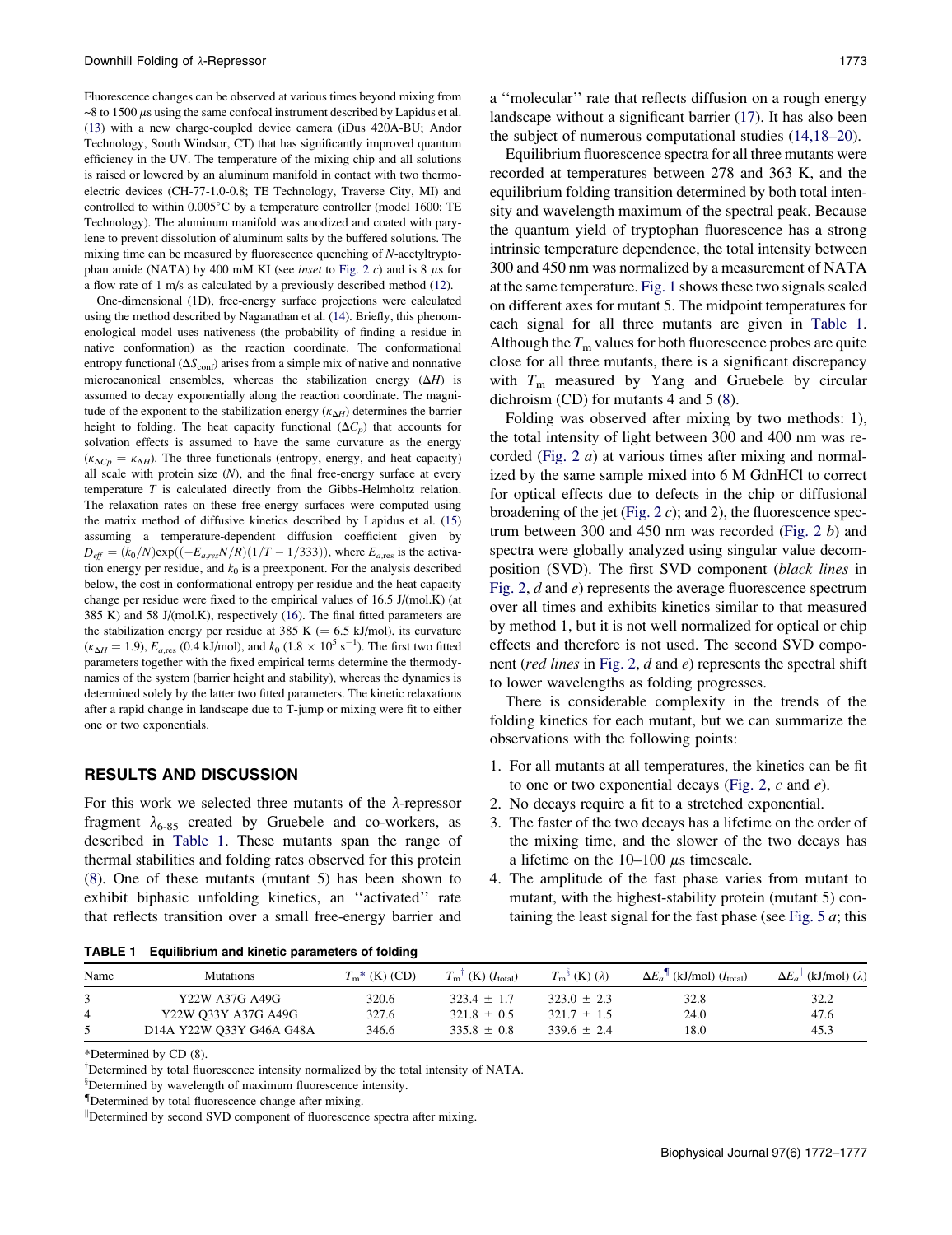<span id="page-1-0"></span>Fluorescence changes can be observed at various times beyond mixing from  $\sim$ 8 to 1500  $\mu$ s using the same confocal instrument described by Lapidus et al. ([13\)](#page-5-0) with a new charge-coupled device camera (iDus 420A-BU; Andor Technology, South Windsor, CT) that has significantly improved quantum efficiency in the UV. The temperature of the mixing chip and all solutions is raised or lowered by an aluminum manifold in contact with two thermoelectric devices (CH-77-1.0-0.8; TE Technology, Traverse City, MI) and controlled to within 0.005°C by a temperature controller (model 1600; TE Technology). The aluminum manifold was anodized and coated with parylene to prevent dissolution of aluminum salts by the buffered solutions. The mixing time can be measured by fluorescence quenching of N-acetyltryptophan amide (NATA) by 400 mM KI (see *inset* to [Fig. 2](#page-3-0)  $c$ ) and is 8  $\mu$ s for a flow rate of 1 m/s as calculated by a previously described method ([12\)](#page-5-0).

One-dimensional (1D), free-energy surface projections were calculated using the method described by Naganathan et al. ([14\)](#page-5-0). Briefly, this phenomenological model uses nativeness (the probability of finding a residue in native conformation) as the reaction coordinate. The conformational entropy functional  $(\Delta S_{\text{conf}})$  arises from a simple mix of native and nonnative microcanonical ensembles, whereas the stabilization energy  $(\Delta H)$  is assumed to decay exponentially along the reaction coordinate. The magnitude of the exponent to the stabilization energy  $(\kappa_{\Delta H})$  determines the barrier height to folding. The heat capacity functional  $(\Delta C_p)$  that accounts for solvation effects is assumed to have the same curvature as the energy  $(\kappa_{\Delta C_p} = \kappa_{\Delta H})$ . The three functionals (entropy, energy, and heat capacity) all scale with protein size  $(N)$ , and the final free-energy surface at every temperature T is calculated directly from the Gibbs-Helmholtz relation. The relaxation rates on these free-energy surfaces were computed using the matrix method of diffusive kinetics described by Lapidus et al. ([15\)](#page-5-0) assuming a temperature-dependent diffusion coefficient given by  $D_{\text{eff}} = (k_0/N) \exp((-E_{a, \text{res}}N/R)(1/T - 1/333))$ , where  $E_{a, \text{res}}$  is the activation energy per residue, and  $k_0$  is a preexponent. For the analysis described below, the cost in conformational entropy per residue and the heat capacity change per residue were fixed to the empirical values of 16.5 J/(mol.K) (at 385 K) and 58 J/(mol.K), respectively [\(16](#page-5-0)). The final fitted parameters are the stabilization energy per residue at 385 K ( $= 6.5$  kJ/mol), its curvature  $(\kappa_{\Delta H} = 1.9)$ ,  $E_{a, \text{res}}$  (0.4 kJ/mol), and  $k_0$  (1.8  $\times$  10<sup>5</sup> s<sup>-1</sup>). The first two fitted parameters together with the fixed empirical terms determine the thermodynamics of the system (barrier height and stability), whereas the dynamics is determined solely by the latter two fitted parameters. The kinetic relaxations after a rapid change in landscape due to T-jump or mixing were fit to either one or two exponentials.

### RESULTS AND DISCUSSION

For this work we selected three mutants of the  $\lambda$ -repressor fragment  $\lambda_{6-85}$  created by Gruebele and co-workers, as described in Table 1. These mutants span the range of thermal stabilities and folding rates observed for this protein ([8\)](#page-5-0). One of these mutants (mutant 5) has been shown to exhibit biphasic unfolding kinetics, an ''activated'' rate that reflects transition over a small free-energy barrier and a ''molecular'' rate that reflects diffusion on a rough energy landscape without a significant barrier ([17\)](#page-5-0). It has also been the subject of numerous computational studies ([14,18–20](#page-5-0)).

Equilibrium fluorescence spectra for all three mutants were recorded at temperatures between 278 and 363 K, and the equilibrium folding transition determined by both total intensity and wavelength maximum of the spectral peak. Because the quantum yield of tryptophan fluorescence has a strong intrinsic temperature dependence, the total intensity between 300 and 450 nm was normalized by a measurement of NATA at the same temperature. [Fig. 1](#page-2-0) shows these two signals scaled on different axes for mutant 5. The midpoint temperatures for each signal for all three mutants are given in Table 1. Although the  $T<sub>m</sub>$  values for both fluorescence probes are quite close for all three mutants, there is a significant discrepancy with  $T_m$  measured by Yang and Gruebele by circular dichroism (CD) for mutants 4 and 5 ([8\)](#page-5-0).

Folding was observed after mixing by two methods: 1), the total intensity of light between 300 and 400 nm was recorded ([Fig. 2](#page-3-0) a) at various times after mixing and normalized by the same sample mixed into 6 M GdnHCl to correct for optical effects due to defects in the chip or diffusional broadening of the jet ([Fig. 2](#page-3-0)  $c$ ); and 2), the fluorescence spectrum between 300 and 450 nm was recorded (Fig.  $2 b$ ) and spectra were globally analyzed using singular value decomposition (SVD). The first SVD component (black lines in [Fig. 2](#page-3-0), d and e) represents the average fluorescence spectrum over all times and exhibits kinetics similar to that measured by method 1, but it is not well normalized for optical or chip effects and therefore is not used. The second SVD compo-nent (red lines in [Fig. 2](#page-3-0),  $d$  and  $e$ ) represents the spectral shift to lower wavelengths as folding progresses.

There is considerable complexity in the trends of the folding kinetics for each mutant, but we can summarize the observations with the following points:

- 1. For all mutants at all temperatures, the kinetics can be fit to one or two exponential decays [\(Fig. 2](#page-3-0),  $c$  and  $e$ ).
- 2. No decays require a fit to a stretched exponential.
- 3. The faster of the two decays has a lifetime on the order of the mixing time, and the slower of the two decays has a lifetime on the  $10-100 \mu s$  timescale.
- 4. The amplitude of the fast phase varies from mutant to mutant, with the highest-stability protein (mutant 5) containing the least signal for the fast phase (see Fig.  $5 \alpha$ ; this

TABLE 1 Equilibrium and kinetic parameters of folding

| Name | <b>Mutations</b>         | $T_m^*$ (K) (CD) | $(K)$ $(I_{\text{total}})$<br>$T_{\rm m}$ <sup><math>\perp</math></sup> | $T_{\rm m}^{\rm s}$ (K) ( $\lambda$ ) | $\Delta E_a$ <sup>1</sup> (kJ/mol) ( $I_{total}$ ) | $\Delta E_a^{\parallel}$ (kJ/mol) ( $\lambda$ ) |
|------|--------------------------|------------------|-------------------------------------------------------------------------|---------------------------------------|----------------------------------------------------|-------------------------------------------------|
|      | Y22W A37G A49G           | 320.6            | $323.4 + 1.7$                                                           | $323.0 + 2.3$                         | 32.8                                               | 32.2                                            |
|      | Y22W O33Y A37G A49G      | 327.6            | $321.8 + 0.5$                                                           | $321.7 + 1.5$                         | 24.0                                               | 47.6                                            |
|      | D14A Y22W O33Y G46A G48A | 346.6            | $335.8 + 0.8$                                                           | $339.6 + 2.4$                         | 18.0                                               | 45.3                                            |

\*Determined by CD (8).

<sup>†</sup>Determined by total fluorescence intensity normalized by the total intensity of NATA.

<sup>§</sup>Determined by wavelength of maximum fluorescence intensity.

<sup>II</sup>Determined by second SVD component of fluorescence spectra after mixing.

<sup>{</sup>Determined by total fluorescence change after mixing.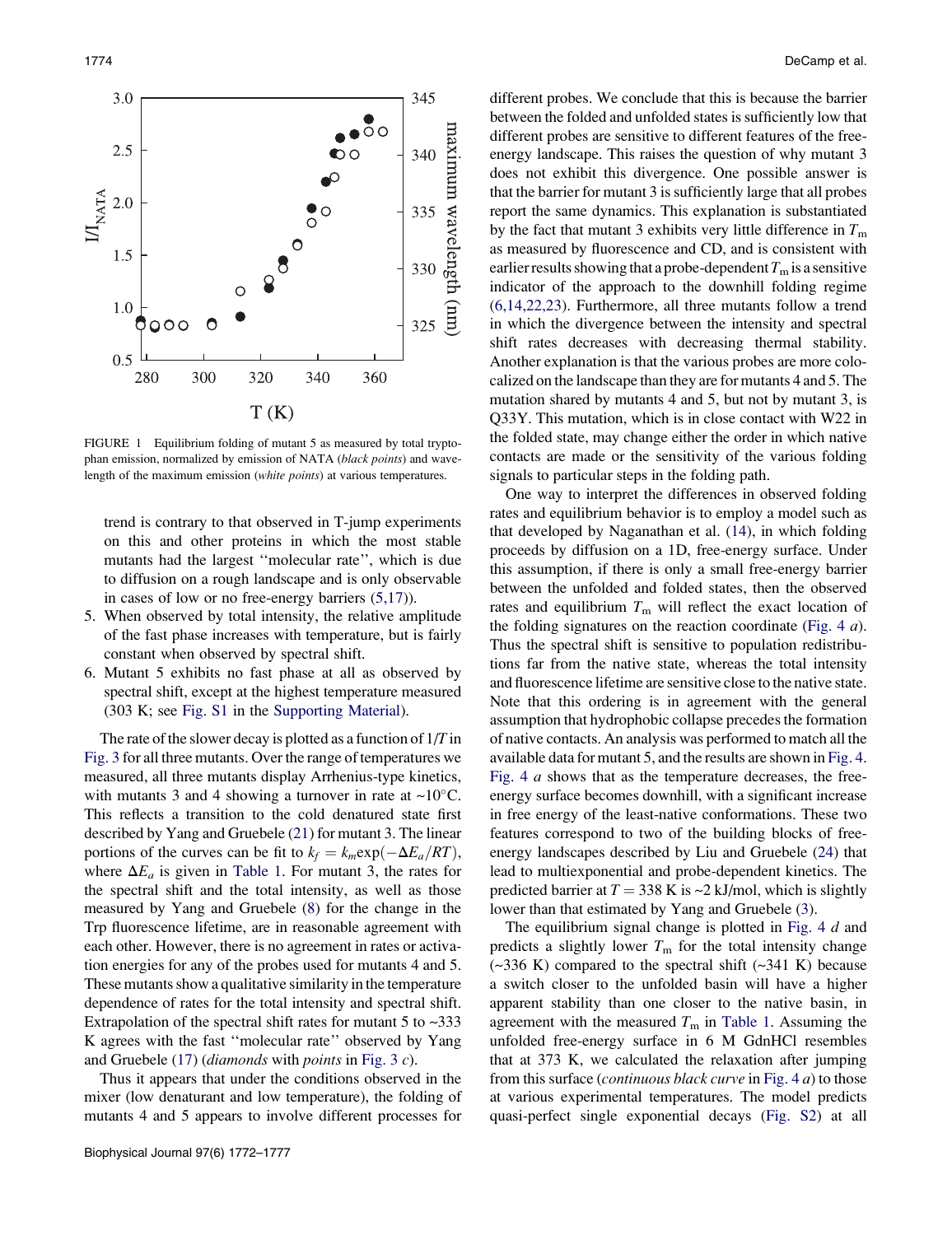<span id="page-2-0"></span>

FIGURE 1 Equilibrium folding of mutant 5 as measured by total tryptophan emission, normalized by emission of NATA (black points) and wavelength of the maximum emission (white points) at various temperatures.

trend is contrary to that observed in T-jump experiments on this and other proteins in which the most stable mutants had the largest ''molecular rate'', which is due to diffusion on a rough landscape and is only observable in cases of low or no free-energy barriers [\(5,17\)](#page-5-0)).

- 5. When observed by total intensity, the relative amplitude of the fast phase increases with temperature, but is fairly constant when observed by spectral shift.
- 6. Mutant 5 exhibits no fast phase at all as observed by spectral shift, except at the highest temperature measured (303 K; see [Fig. S1](#page-5-0) in the [Supporting Material\)](#page-5-0).

The rate of the slower decay is plotted as a function of  $1/T$  in [Fig. 3](#page-3-0) for all three mutants. Over the range of temperatures we measured, all three mutants display Arrhenius-type kinetics, with mutants 3 and 4 showing a turnover in rate at  $\sim 10^{\circ}$ C. This reflects a transition to the cold denatured state first described by Yang and Gruebele ([21\)](#page-5-0) for mutant 3. The linear portions of the curves can be fit to  $k_f = k_m \exp(-\Delta E_a/RT)$ , where  $\Delta E_a$  is given in [Table 1.](#page-1-0) For mutant 3, the rates for the spectral shift and the total intensity, as well as those measured by Yang and Gruebele ([8\)](#page-5-0) for the change in the Trp fluorescence lifetime, are in reasonable agreement with each other. However, there is no agreement in rates or activation energies for any of the probes used for mutants 4 and 5. These mutants show a qualitative similarity in the temperature dependence of rates for the total intensity and spectral shift. Extrapolation of the spectral shift rates for mutant 5 to  $\sim$ 333 K agrees with the fast ''molecular rate'' observed by Yang and Gruebele [\(17](#page-5-0)) (diamonds with points in [Fig. 3](#page-3-0) c).

Thus it appears that under the conditions observed in the mixer (low denaturant and low temperature), the folding of mutants 4 and 5 appears to involve different processes for different probes. We conclude that this is because the barrier between the folded and unfolded states is sufficiently low that different probes are sensitive to different features of the freeenergy landscape. This raises the question of why mutant 3 does not exhibit this divergence. One possible answer is that the barrier for mutant 3 is sufficiently large that all probes report the same dynamics. This explanation is substantiated by the fact that mutant 3 exhibits very little difference in  $T<sub>m</sub>$ as measured by fluorescence and CD, and is consistent with earlier results showing that a probe-dependent  $T<sub>m</sub>$  is a sensitive indicator of the approach to the downhill folding regime ([6,14,22,23](#page-5-0)). Furthermore, all three mutants follow a trend in which the divergence between the intensity and spectral shift rates decreases with decreasing thermal stability. Another explanation is that the various probes are more colocalized on the landscape than they are for mutants 4 and 5. The mutation shared by mutants 4 and 5, but not by mutant 3, is Q33Y. This mutation, which is in close contact with W22 in the folded state, may change either the order in which native contacts are made or the sensitivity of the various folding signals to particular steps in the folding path.

One way to interpret the differences in observed folding rates and equilibrium behavior is to employ a model such as that developed by Naganathan et al. [\(14](#page-5-0)), in which folding proceeds by diffusion on a 1D, free-energy surface. Under this assumption, if there is only a small free-energy barrier between the unfolded and folded states, then the observed rates and equilibrium  $T<sub>m</sub>$  will reflect the exact location of the folding signatures on the reaction coordinate ([Fig. 4](#page-4-0)  $a$ ). Thus the spectral shift is sensitive to population redistributions far from the native state, whereas the total intensity and fluorescence lifetime are sensitive close to the native state. Note that this ordering is in agreement with the general assumption that hydrophobic collapse precedes the formation of native contacts. An analysis was performed to match all the available data for mutant 5, and the results are shown in [Fig. 4](#page-4-0). [Fig. 4](#page-4-0) a shows that as the temperature decreases, the freeenergy surface becomes downhill, with a significant increase in free energy of the least-native conformations. These two features correspond to two of the building blocks of freeenergy landscapes described by Liu and Gruebele [\(24](#page-5-0)) that lead to multiexponential and probe-dependent kinetics. The predicted barrier at  $T = 338$  K is  $\sim$ 2 kJ/mol, which is slightly lower than that estimated by Yang and Gruebele ([3\)](#page-5-0).

The equilibrium signal change is plotted in [Fig. 4](#page-4-0) d and predicts a slightly lower  $T<sub>m</sub>$  for the total intensity change  $(\sim$ 336 K) compared to the spectral shift  $(\sim$ 341 K) because a switch closer to the unfolded basin will have a higher apparent stability than one closer to the native basin, in agreement with the measured  $T<sub>m</sub>$  in [Table 1](#page-1-0). Assuming the unfolded free-energy surface in 6 M GdnHCl resembles that at 373 K, we calculated the relaxation after jumping from this surface (continuous black curve in [Fig. 4](#page-4-0) a) to those at various experimental temperatures. The model predicts quasi-perfect single exponential decays [\(Fig. S2\)](#page-5-0) at all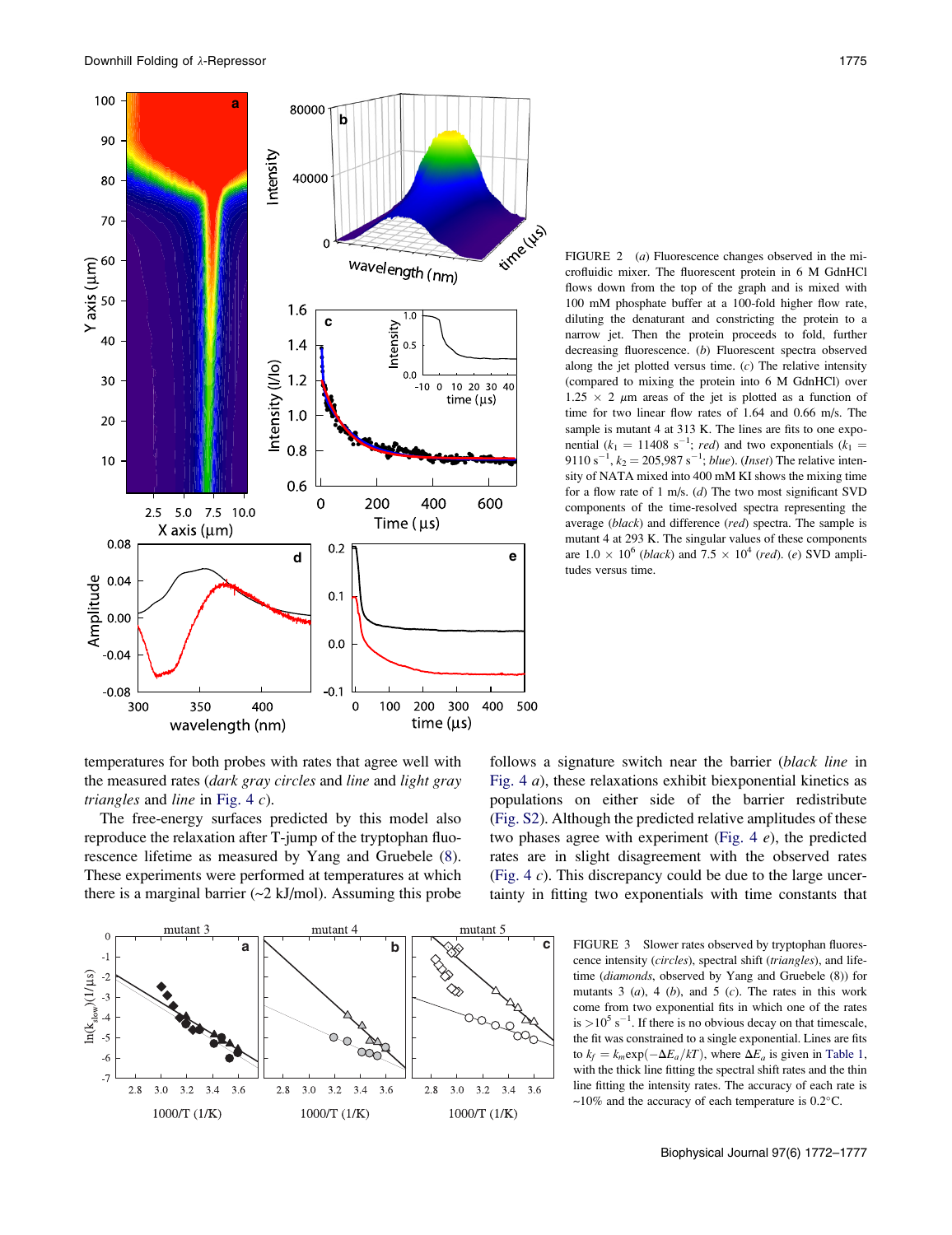<span id="page-3-0"></span>

FIGURE 2 (*a*) Fluorescence changes observed in the microfluidic mixer. The fluorescent protein in 6 M GdnHCl flows down from the top of the graph and is mixed with 100 mM phosphate buffer at a 100-fold higher flow rate, diluting the denaturant and constricting the protein to a narrow jet. Then the protein proceeds to fold, further decreasing fluorescence. (b) Fluorescent spectra observed along the jet plotted versus time.  $(c)$  The relative intensity (compared to mixing the protein into 6 M GdnHCl) over  $1.25 \times 2 \mu m$  areas of the jet is plotted as a function of time for two linear flow rates of 1.64 and 0.66 m/s. The sample is mutant 4 at 313 K. The lines are fits to one exponential ( $k_1 = 11408$  s<sup>-1</sup>; red) and two exponentials ( $k_1 =$ 9110 s<sup>-1</sup>,  $k_2 = 205,987$  s<sup>-1</sup>; *blue*). (*Inset*) The relative intensity of NATA mixed into 400 mM KI shows the mixing time for a flow rate of 1 m/s. (d) The two most significant SVD components of the time-resolved spectra representing the average (black) and difference (red) spectra. The sample is mutant 4 at 293 K. The singular values of these components are  $1.0 \times 10^6$  (*black*) and  $7.5 \times 10^4$  (*red*). (*e*) SVD amplitudes versus time.

temperatures for both probes with rates that agree well with the measured rates (dark gray circles and line and light gray *triangles* and *line* in [Fig. 4](#page-4-0)  $c$ ).

The free-energy surfaces predicted by this model also reproduce the relaxation after T-jump of the tryptophan fluorescence lifetime as measured by Yang and Gruebele ([8\)](#page-5-0). These experiments were performed at temperatures at which there is a marginal barrier  $\left(\frac{2 \text{ kJ}}{\text{mol}}\right)$ . Assuming this probe





cence intensity (circles), spectral shift (triangles), and lifetime (diamonds, observed by Yang and Gruebele (8)) for mutants 3  $(a)$ , 4  $(b)$ , and 5  $(c)$ . The rates in this work come from two exponential fits in which one of the rates is  $>10^5$  s<sup>-1</sup>. If there is no obvious decay on that timescale, the fit was constrained to a single exponential. Lines are fits to  $k_f = k_m \exp(-\Delta E_a/kT)$ , where  $\Delta E_a$  is given in [Table 1,](#page-1-0) with the thick line fitting the spectral shift rates and the thin line fitting the intensity rates. The accuracy of each rate is  $\sim$ 10% and the accuracy of each temperature is 0.2 $^{\circ}$ C.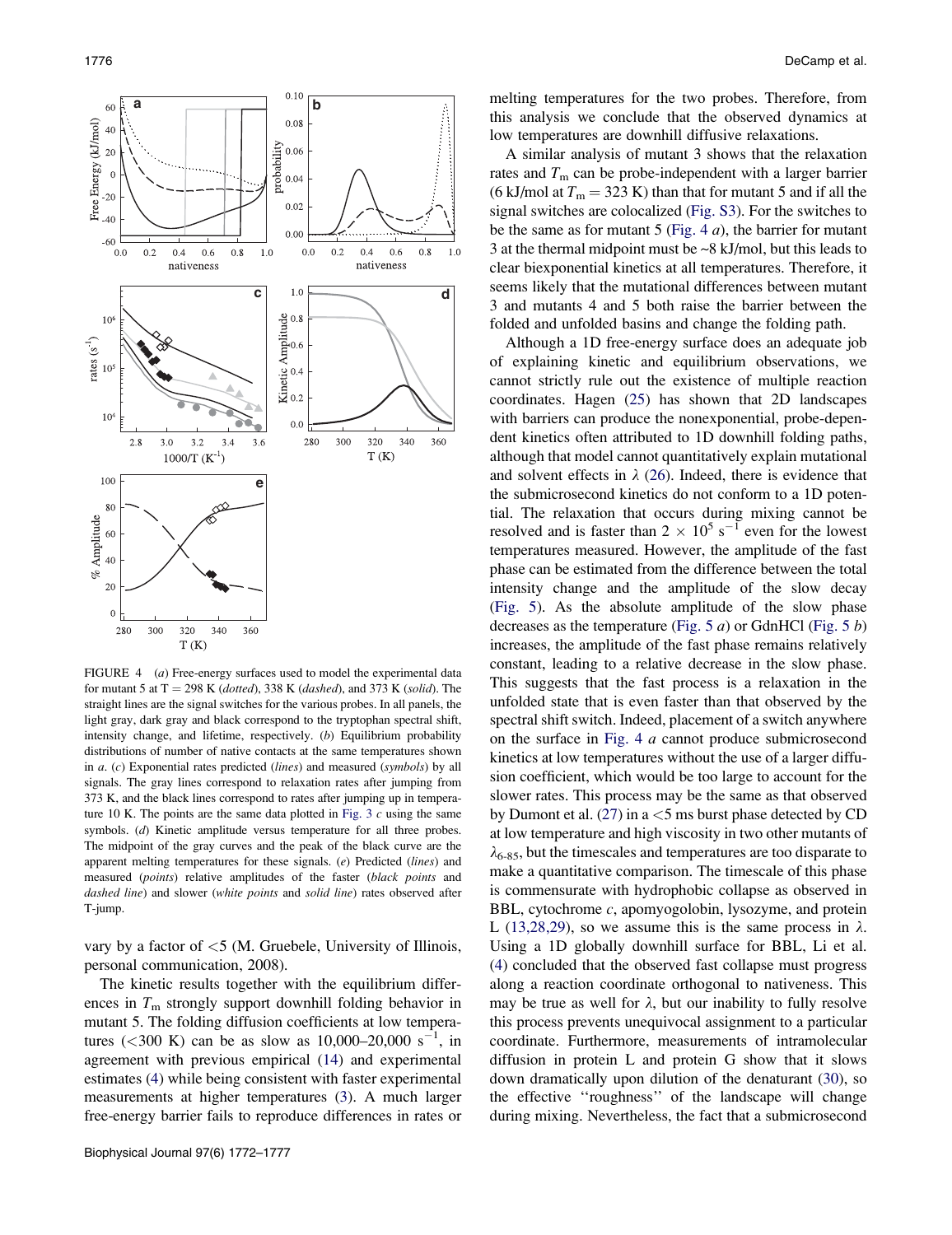<span id="page-4-0"></span>

FIGURE 4 (a) Free-energy surfaces used to model the experimental data for mutant 5 at  $T = 298$  K (dotted), 338 K (dashed), and 373 K (solid). The straight lines are the signal switches for the various probes. In all panels, the light gray, dark gray and black correspond to the tryptophan spectral shift, intensity change, and lifetime, respectively. (b) Equilibrium probability distributions of number of native contacts at the same temperatures shown in  $a.$  (c) Exponential rates predicted (lines) and measured (symbols) by all signals. The gray lines correspond to relaxation rates after jumping from 373 K, and the black lines correspond to rates after jumping up in temperature 10 K. The points are the same data plotted in Fig.  $3 c$  using the same symbols. (d) Kinetic amplitude versus temperature for all three probes. The midpoint of the gray curves and the peak of the black curve are the apparent melting temperatures for these signals. (e) Predicted (lines) and measured (points) relative amplitudes of the faster (black points and dashed line) and slower (white points and solid line) rates observed after T-jump.

vary by a factor of  $\leq$ 5 (M. Gruebele, University of Illinois, personal communication, 2008).

The kinetic results together with the equilibrium differences in  $T<sub>m</sub>$  strongly support downhill folding behavior in mutant 5. The folding diffusion coefficients at low temperatures (<300 K) can be as slow as  $10,000-20,000 s^{-1}$ , in agreement with previous empirical [\(14](#page-5-0)) and experimental estimates ([4\)](#page-5-0) while being consistent with faster experimental measurements at higher temperatures [\(3](#page-5-0)). A much larger free-energy barrier fails to reproduce differences in rates or melting temperatures for the two probes. Therefore, from this analysis we conclude that the observed dynamics at low temperatures are downhill diffusive relaxations.

A similar analysis of mutant 3 shows that the relaxation rates and  $T<sub>m</sub>$  can be probe-independent with a larger barrier (6 kJ/mol at  $T_m = 323$  K) than that for mutant 5 and if all the signal switches are colocalized ([Fig. S3\)](#page-5-0). For the switches to be the same as for mutant 5 (Fig. 4  $a$ ), the barrier for mutant 3 at the thermal midpoint must be ~8 kJ/mol, but this leads to clear biexponential kinetics at all temperatures. Therefore, it seems likely that the mutational differences between mutant 3 and mutants 4 and 5 both raise the barrier between the folded and unfolded basins and change the folding path.

Although a 1D free-energy surface does an adequate job of explaining kinetic and equilibrium observations, we cannot strictly rule out the existence of multiple reaction coordinates. Hagen ([25\)](#page-5-0) has shown that 2D landscapes with barriers can produce the nonexponential, probe-dependent kinetics often attributed to 1D downhill folding paths, although that model cannot quantitatively explain mutational and solvent effects in  $\lambda$  ([26\)](#page-5-0). Indeed, there is evidence that the submicrosecond kinetics do not conform to a 1D potential. The relaxation that occurs during mixing cannot be resolved and is faster than  $2 \times 10^5$  s<sup>-1</sup> even for the lowest temperatures measured. However, the amplitude of the fast phase can be estimated from the difference between the total intensity change and the amplitude of the slow decay ([Fig. 5](#page-5-0)). As the absolute amplitude of the slow phase decreases as the temperature ([Fig. 5](#page-5-0)  $a$ ) or GdnHCl (Fig. 5  $b$ ) increases, the amplitude of the fast phase remains relatively constant, leading to a relative decrease in the slow phase. This suggests that the fast process is a relaxation in the unfolded state that is even faster than that observed by the spectral shift switch. Indeed, placement of a switch anywhere on the surface in Fig. 4 a cannot produce submicrosecond kinetics at low temperatures without the use of a larger diffusion coefficient, which would be too large to account for the slower rates. This process may be the same as that observed by Dumont et al.  $(27)$  $(27)$  in a  $<$  5 ms burst phase detected by CD at low temperature and high viscosity in two other mutants of  $\lambda_{6-85}$ , but the timescales and temperatures are too disparate to make a quantitative comparison. The timescale of this phase is commensurate with hydrophobic collapse as observed in BBL, cytochrome  $c$ , apomyogolobin, lysozyme, and protein L ([13,28,29](#page-5-0)), so we assume this is the same process in  $\lambda$ . Using a 1D globally downhill surface for BBL, Li et al. ([4\)](#page-5-0) concluded that the observed fast collapse must progress along a reaction coordinate orthogonal to nativeness. This may be true as well for  $\lambda$ , but our inability to fully resolve this process prevents unequivocal assignment to a particular coordinate. Furthermore, measurements of intramolecular diffusion in protein L and protein G show that it slows down dramatically upon dilution of the denaturant ([30\)](#page-5-0), so the effective ''roughness'' of the landscape will change during mixing. Nevertheless, the fact that a submicrosecond